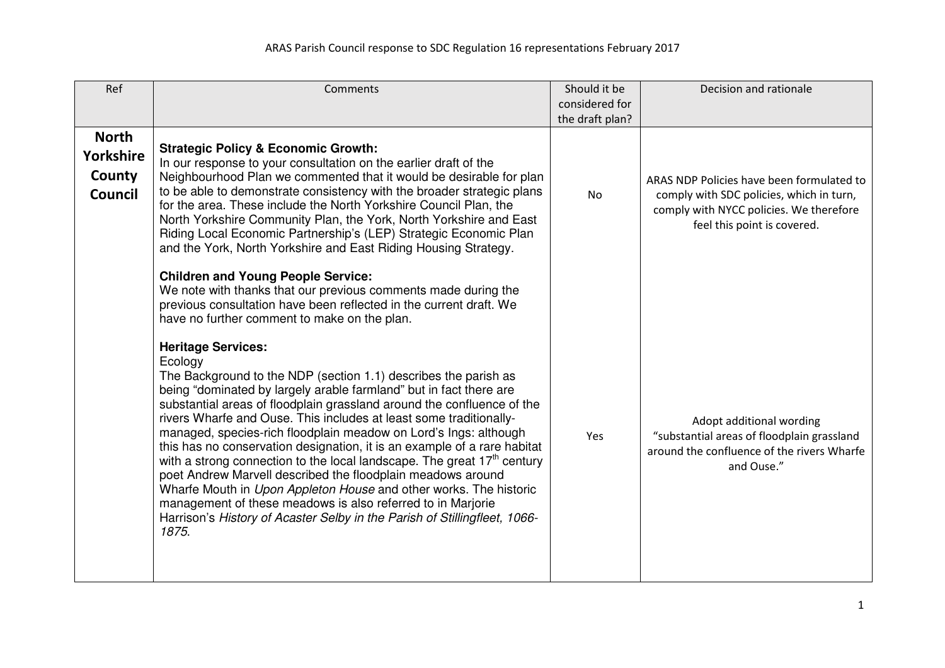| Ref                                                   | Comments                                                                                                                                                                                                                                                                                                                                                                                                                                                                                                                                                                                                                                                                                                                                                                                                                                                      | Should it be    | Decision and rationale                                                                                                             |
|-------------------------------------------------------|---------------------------------------------------------------------------------------------------------------------------------------------------------------------------------------------------------------------------------------------------------------------------------------------------------------------------------------------------------------------------------------------------------------------------------------------------------------------------------------------------------------------------------------------------------------------------------------------------------------------------------------------------------------------------------------------------------------------------------------------------------------------------------------------------------------------------------------------------------------|-----------------|------------------------------------------------------------------------------------------------------------------------------------|
|                                                       |                                                                                                                                                                                                                                                                                                                                                                                                                                                                                                                                                                                                                                                                                                                                                                                                                                                               | considered for  |                                                                                                                                    |
|                                                       |                                                                                                                                                                                                                                                                                                                                                                                                                                                                                                                                                                                                                                                                                                                                                                                                                                                               | the draft plan? |                                                                                                                                    |
| <b>North</b><br>Yorkshire<br>County<br><b>Council</b> | <b>Strategic Policy &amp; Economic Growth:</b><br>In our response to your consultation on the earlier draft of the<br>Neighbourhood Plan we commented that it would be desirable for plan<br>to be able to demonstrate consistency with the broader strategic plans<br>for the area. These include the North Yorkshire Council Plan, the                                                                                                                                                                                                                                                                                                                                                                                                                                                                                                                      | <b>No</b>       | ARAS NDP Policies have been formulated to<br>comply with SDC policies, which in turn,<br>comply with NYCC policies. We therefore   |
|                                                       | North Yorkshire Community Plan, the York, North Yorkshire and East<br>Riding Local Economic Partnership's (LEP) Strategic Economic Plan<br>and the York, North Yorkshire and East Riding Housing Strategy.                                                                                                                                                                                                                                                                                                                                                                                                                                                                                                                                                                                                                                                    |                 | feel this point is covered.                                                                                                        |
|                                                       | <b>Children and Young People Service:</b><br>We note with thanks that our previous comments made during the<br>previous consultation have been reflected in the current draft. We<br>have no further comment to make on the plan.                                                                                                                                                                                                                                                                                                                                                                                                                                                                                                                                                                                                                             |                 |                                                                                                                                    |
|                                                       | <b>Heritage Services:</b><br>Ecology<br>The Background to the NDP (section 1.1) describes the parish as<br>being "dominated by largely arable farmland" but in fact there are<br>substantial areas of floodplain grassland around the confluence of the<br>rivers Wharfe and Ouse. This includes at least some traditionally-<br>managed, species-rich floodplain meadow on Lord's Ings: although<br>this has no conservation designation, it is an example of a rare habitat<br>with a strong connection to the local landscape. The great 17 <sup>th</sup> century<br>poet Andrew Marvell described the floodplain meadows around<br>Wharfe Mouth in Upon Appleton House and other works. The historic<br>management of these meadows is also referred to in Marjorie<br>Harrison's History of Acaster Selby in the Parish of Stillingfleet, 1066-<br>1875. | Yes             | Adopt additional wording<br>"substantial areas of floodplain grassland<br>around the confluence of the rivers Wharfe<br>and Ouse." |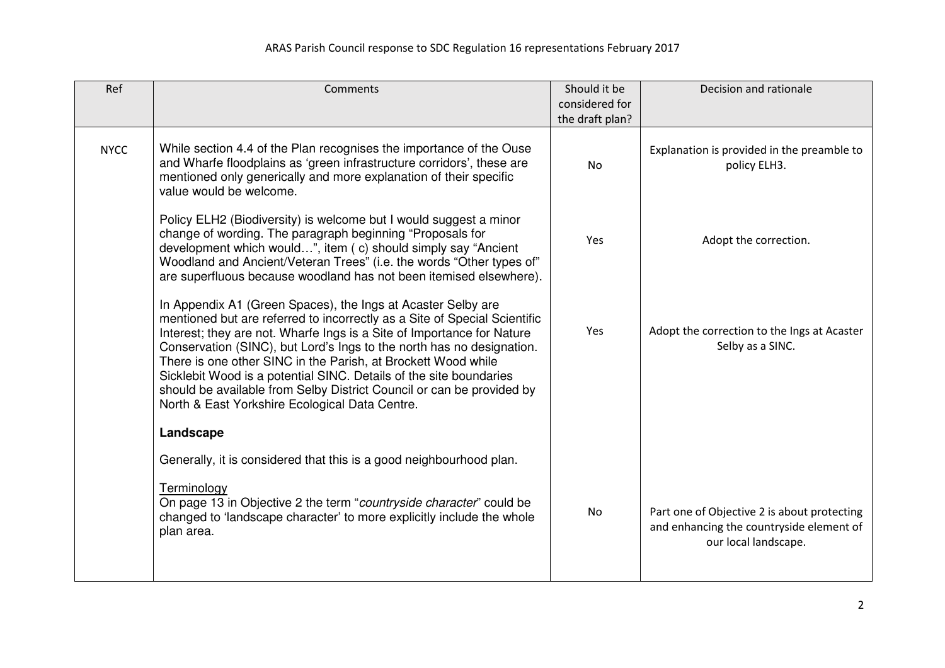| Ref         | Comments                                                                                                                                                                                                                                                                                                                                                                                                                                                                                                                                                       | Should it be<br>considered for<br>the draft plan? | Decision and rationale                                                                                          |
|-------------|----------------------------------------------------------------------------------------------------------------------------------------------------------------------------------------------------------------------------------------------------------------------------------------------------------------------------------------------------------------------------------------------------------------------------------------------------------------------------------------------------------------------------------------------------------------|---------------------------------------------------|-----------------------------------------------------------------------------------------------------------------|
| <b>NYCC</b> | While section 4.4 of the Plan recognises the importance of the Ouse<br>and Wharfe floodplains as 'green infrastructure corridors', these are<br>mentioned only generically and more explanation of their specific<br>value would be welcome.                                                                                                                                                                                                                                                                                                                   | <b>No</b>                                         | Explanation is provided in the preamble to<br>policy ELH3.                                                      |
|             | Policy ELH2 (Biodiversity) is welcome but I would suggest a minor<br>change of wording. The paragraph beginning "Proposals for<br>development which would", item (c) should simply say "Ancient<br>Woodland and Ancient/Veteran Trees" (i.e. the words "Other types of"<br>are superfluous because woodland has not been itemised elsewhere).                                                                                                                                                                                                                  | Yes                                               | Adopt the correction.                                                                                           |
|             | In Appendix A1 (Green Spaces), the Ings at Acaster Selby are<br>mentioned but are referred to incorrectly as a Site of Special Scientific<br>Interest; they are not. Wharfe Ings is a Site of Importance for Nature<br>Conservation (SINC), but Lord's Ings to the north has no designation.<br>There is one other SINC in the Parish, at Brockett Wood while<br>Sicklebit Wood is a potential SINC. Details of the site boundaries<br>should be available from Selby District Council or can be provided by<br>North & East Yorkshire Ecological Data Centre. | Yes                                               | Adopt the correction to the Ings at Acaster<br>Selby as a SINC.                                                 |
|             | Landscape                                                                                                                                                                                                                                                                                                                                                                                                                                                                                                                                                      |                                                   |                                                                                                                 |
|             | Generally, it is considered that this is a good neighbourhood plan.                                                                                                                                                                                                                                                                                                                                                                                                                                                                                            |                                                   |                                                                                                                 |
|             | Terminology<br>On page 13 in Objective 2 the term "countryside character" could be<br>changed to 'landscape character' to more explicitly include the whole<br>plan area.                                                                                                                                                                                                                                                                                                                                                                                      | No                                                | Part one of Objective 2 is about protecting<br>and enhancing the countryside element of<br>our local landscape. |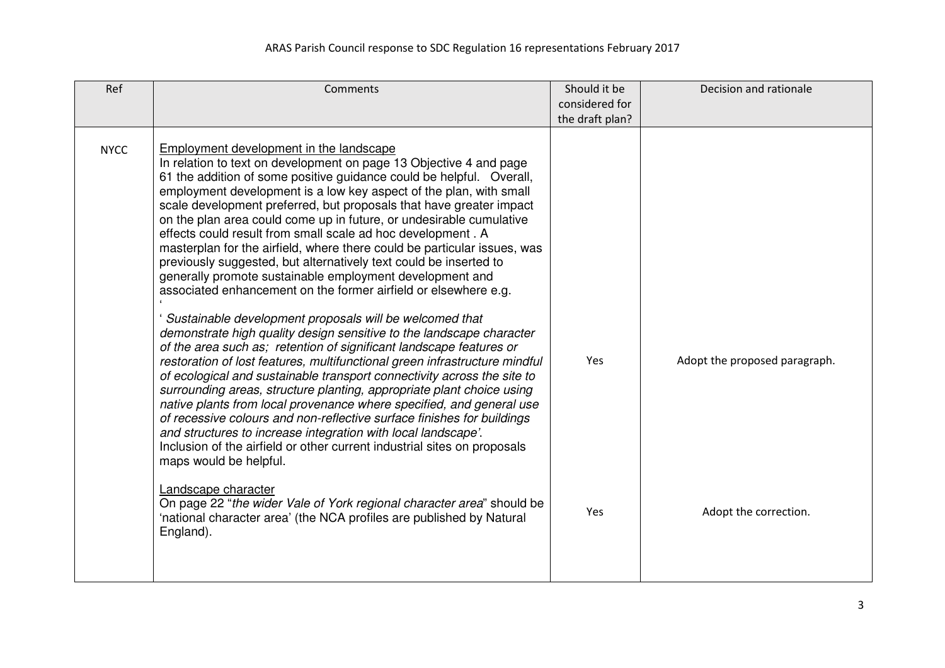| Ref         | <b>Comments</b>                                                                                                                                                                                                                                                                                                                                                                                                                                                                                                                                                                                                                                                                                                                                                                                                                                                                                                                                                                                                                                                                                                                                                                                                                                                                                                                                                                                                          | Should it be<br>considered for<br>the draft plan? | Decision and rationale        |
|-------------|--------------------------------------------------------------------------------------------------------------------------------------------------------------------------------------------------------------------------------------------------------------------------------------------------------------------------------------------------------------------------------------------------------------------------------------------------------------------------------------------------------------------------------------------------------------------------------------------------------------------------------------------------------------------------------------------------------------------------------------------------------------------------------------------------------------------------------------------------------------------------------------------------------------------------------------------------------------------------------------------------------------------------------------------------------------------------------------------------------------------------------------------------------------------------------------------------------------------------------------------------------------------------------------------------------------------------------------------------------------------------------------------------------------------------|---------------------------------------------------|-------------------------------|
| <b>NYCC</b> | Employment development in the landscape<br>In relation to text on development on page 13 Objective 4 and page<br>61 the addition of some positive guidance could be helpful. Overall,<br>employment development is a low key aspect of the plan, with small<br>scale development preferred, but proposals that have greater impact<br>on the plan area could come up in future, or undesirable cumulative<br>effects could result from small scale ad hoc development . A<br>masterplan for the airfield, where there could be particular issues, was<br>previously suggested, but alternatively text could be inserted to<br>generally promote sustainable employment development and<br>associated enhancement on the former airfield or elsewhere e.g.<br>Sustainable development proposals will be welcomed that<br>demonstrate high quality design sensitive to the landscape character<br>of the area such as; retention of significant landscape features or<br>restoration of lost features, multifunctional green infrastructure mindful<br>of ecological and sustainable transport connectivity across the site to<br>surrounding areas, structure planting, appropriate plant choice using<br>native plants from local provenance where specified, and general use<br>of recessive colours and non-reflective surface finishes for buildings<br>and structures to increase integration with local landscape'. | Yes                                               | Adopt the proposed paragraph. |
|             | Inclusion of the airfield or other current industrial sites on proposals<br>maps would be helpful.<br>Landscape character                                                                                                                                                                                                                                                                                                                                                                                                                                                                                                                                                                                                                                                                                                                                                                                                                                                                                                                                                                                                                                                                                                                                                                                                                                                                                                |                                                   |                               |
|             | On page 22 "the wider Vale of York regional character area" should be<br>'national character area' (the NCA profiles are published by Natural<br>England).                                                                                                                                                                                                                                                                                                                                                                                                                                                                                                                                                                                                                                                                                                                                                                                                                                                                                                                                                                                                                                                                                                                                                                                                                                                               | Yes                                               | Adopt the correction.         |
|             |                                                                                                                                                                                                                                                                                                                                                                                                                                                                                                                                                                                                                                                                                                                                                                                                                                                                                                                                                                                                                                                                                                                                                                                                                                                                                                                                                                                                                          |                                                   |                               |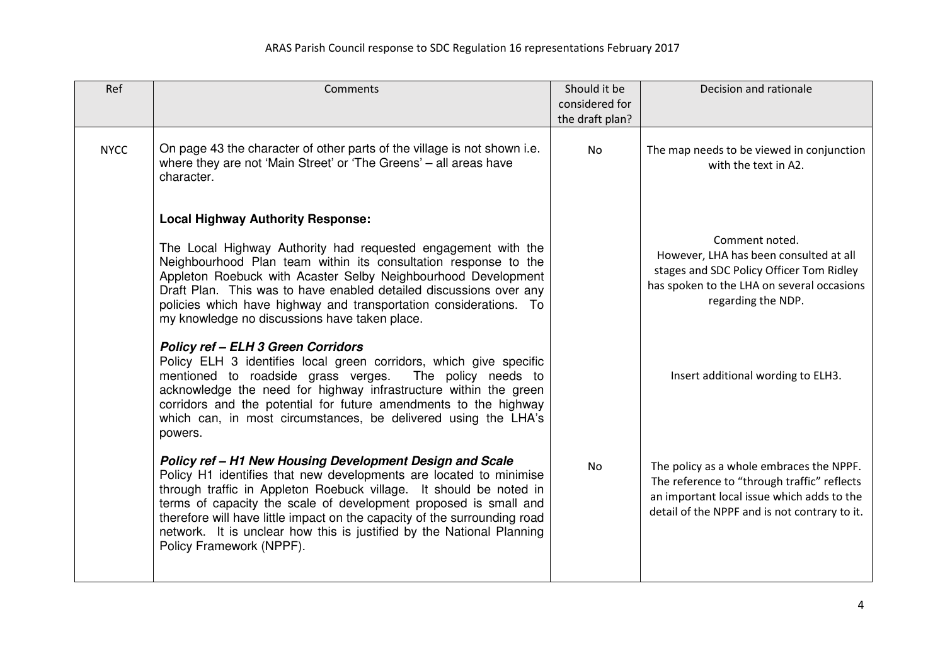| Ref         | Comments                                                                                                                                                                                                                                                                                                                                                                                                                                                   | Should it be    | Decision and rationale                                                                                                                                                                 |
|-------------|------------------------------------------------------------------------------------------------------------------------------------------------------------------------------------------------------------------------------------------------------------------------------------------------------------------------------------------------------------------------------------------------------------------------------------------------------------|-----------------|----------------------------------------------------------------------------------------------------------------------------------------------------------------------------------------|
|             |                                                                                                                                                                                                                                                                                                                                                                                                                                                            | considered for  |                                                                                                                                                                                        |
|             |                                                                                                                                                                                                                                                                                                                                                                                                                                                            | the draft plan? |                                                                                                                                                                                        |
| <b>NYCC</b> | On page 43 the character of other parts of the village is not shown i.e.<br>where they are not 'Main Street' or 'The Greens' - all areas have<br>character.                                                                                                                                                                                                                                                                                                | <b>No</b>       | The map needs to be viewed in conjunction<br>with the text in A2.                                                                                                                      |
|             | <b>Local Highway Authority Response:</b>                                                                                                                                                                                                                                                                                                                                                                                                                   |                 |                                                                                                                                                                                        |
|             | The Local Highway Authority had requested engagement with the<br>Neighbourhood Plan team within its consultation response to the<br>Appleton Roebuck with Acaster Selby Neighbourhood Development<br>Draft Plan. This was to have enabled detailed discussions over any<br>policies which have highway and transportation considerations. To<br>my knowledge no discussions have taken place.                                                              |                 | Comment noted.<br>However, LHA has been consulted at all<br>stages and SDC Policy Officer Tom Ridley<br>has spoken to the LHA on several occasions<br>regarding the NDP.               |
|             | <b>Policy ref - ELH 3 Green Corridors</b><br>Policy ELH 3 identifies local green corridors, which give specific<br>mentioned to roadside grass verges.<br>The policy needs to<br>acknowledge the need for highway infrastructure within the green<br>corridors and the potential for future amendments to the highway<br>which can, in most circumstances, be delivered using the LHA's<br>powers.                                                         |                 | Insert additional wording to ELH3.                                                                                                                                                     |
|             | Policy ref - H1 New Housing Development Design and Scale<br>Policy H1 identifies that new developments are located to minimise<br>through traffic in Appleton Roebuck village. It should be noted in<br>terms of capacity the scale of development proposed is small and<br>therefore will have little impact on the capacity of the surrounding road<br>network. It is unclear how this is justified by the National Planning<br>Policy Framework (NPPF). | <b>No</b>       | The policy as a whole embraces the NPPF.<br>The reference to "through traffic" reflects<br>an important local issue which adds to the<br>detail of the NPPF and is not contrary to it. |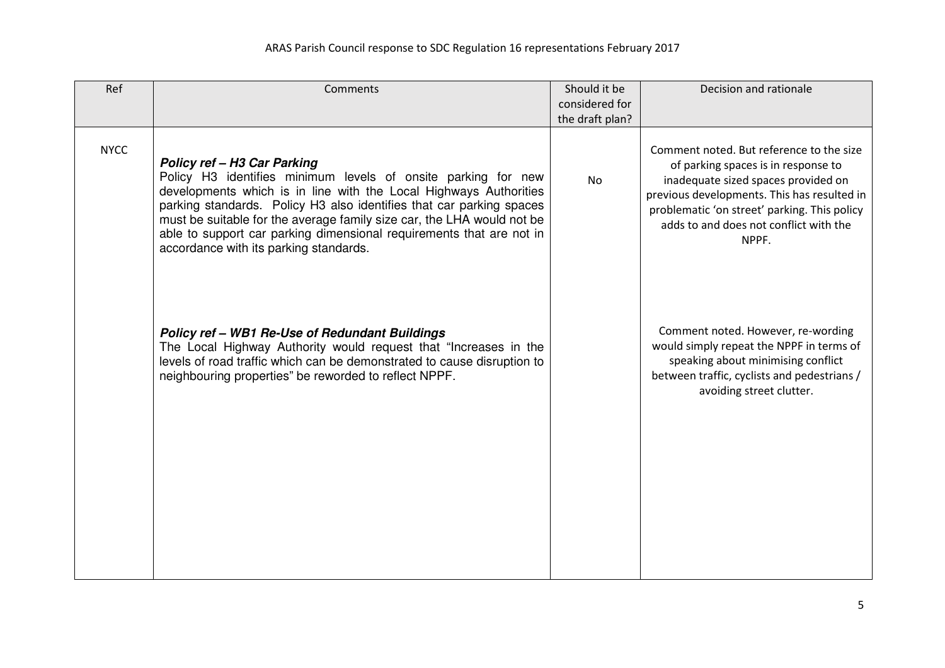| Ref         | Comments                                                                                                                                                                                                                                                                                                                                                                                                                                     | Should it be<br>considered for | Decision and rationale                                                                                                                                                                                                                                                   |
|-------------|----------------------------------------------------------------------------------------------------------------------------------------------------------------------------------------------------------------------------------------------------------------------------------------------------------------------------------------------------------------------------------------------------------------------------------------------|--------------------------------|--------------------------------------------------------------------------------------------------------------------------------------------------------------------------------------------------------------------------------------------------------------------------|
|             |                                                                                                                                                                                                                                                                                                                                                                                                                                              | the draft plan?                |                                                                                                                                                                                                                                                                          |
| <b>NYCC</b> | <b>Policy ref - H3 Car Parking</b><br>Policy H3 identifies minimum levels of onsite parking for new<br>developments which is in line with the Local Highways Authorities<br>parking standards. Policy H3 also identifies that car parking spaces<br>must be suitable for the average family size car, the LHA would not be<br>able to support car parking dimensional requirements that are not in<br>accordance with its parking standards. | <b>No</b>                      | Comment noted. But reference to the size<br>of parking spaces is in response to<br>inadequate sized spaces provided on<br>previous developments. This has resulted in<br>problematic 'on street' parking. This policy<br>adds to and does not conflict with the<br>NPPF. |
|             | <b>Policy ref - WB1 Re-Use of Redundant Buildings</b><br>The Local Highway Authority would request that "Increases in the<br>levels of road traffic which can be demonstrated to cause disruption to<br>neighbouring properties" be reworded to reflect NPPF.                                                                                                                                                                                |                                | Comment noted. However, re-wording<br>would simply repeat the NPPF in terms of<br>speaking about minimising conflict<br>between traffic, cyclists and pedestrians /<br>avoiding street clutter.                                                                          |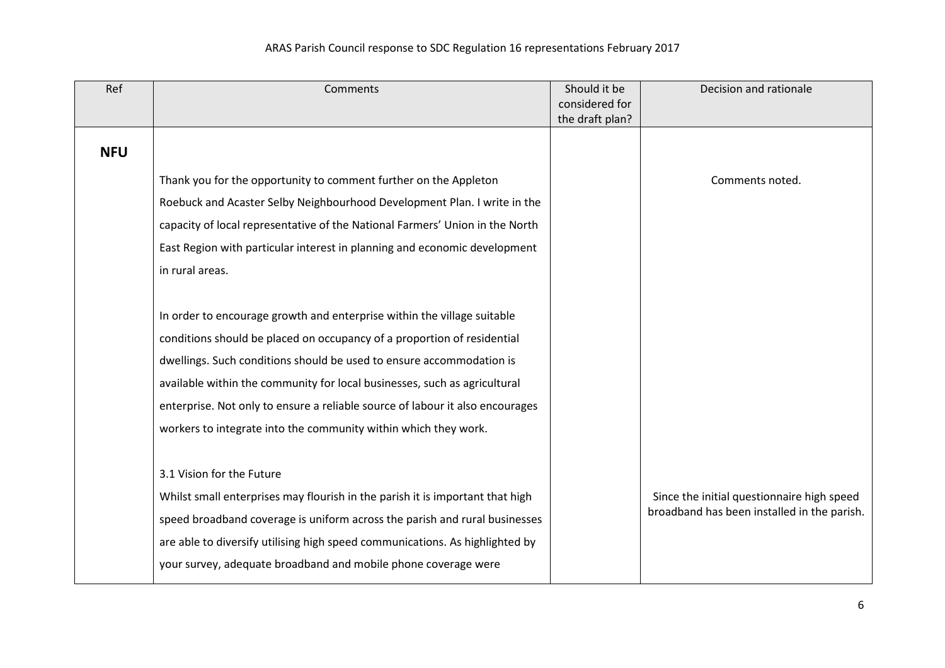| Ref        | Comments                                                                      | Should it be<br>considered for | Decision and rationale                      |
|------------|-------------------------------------------------------------------------------|--------------------------------|---------------------------------------------|
|            |                                                                               | the draft plan?                |                                             |
| <b>NFU</b> |                                                                               |                                |                                             |
|            | Thank you for the opportunity to comment further on the Appleton              |                                | Comments noted.                             |
|            | Roebuck and Acaster Selby Neighbourhood Development Plan. I write in the      |                                |                                             |
|            | capacity of local representative of the National Farmers' Union in the North  |                                |                                             |
|            | East Region with particular interest in planning and economic development     |                                |                                             |
|            | in rural areas.                                                               |                                |                                             |
|            |                                                                               |                                |                                             |
|            | In order to encourage growth and enterprise within the village suitable       |                                |                                             |
|            | conditions should be placed on occupancy of a proportion of residential       |                                |                                             |
|            | dwellings. Such conditions should be used to ensure accommodation is          |                                |                                             |
|            | available within the community for local businesses, such as agricultural     |                                |                                             |
|            | enterprise. Not only to ensure a reliable source of labour it also encourages |                                |                                             |
|            | workers to integrate into the community within which they work.               |                                |                                             |
|            |                                                                               |                                |                                             |
|            | 3.1 Vision for the Future                                                     |                                |                                             |
|            | Whilst small enterprises may flourish in the parish it is important that high |                                | Since the initial questionnaire high speed  |
|            | speed broadband coverage is uniform across the parish and rural businesses    |                                | broadband has been installed in the parish. |
|            | are able to diversify utilising high speed communications. As highlighted by  |                                |                                             |
|            | your survey, adequate broadband and mobile phone coverage were                |                                |                                             |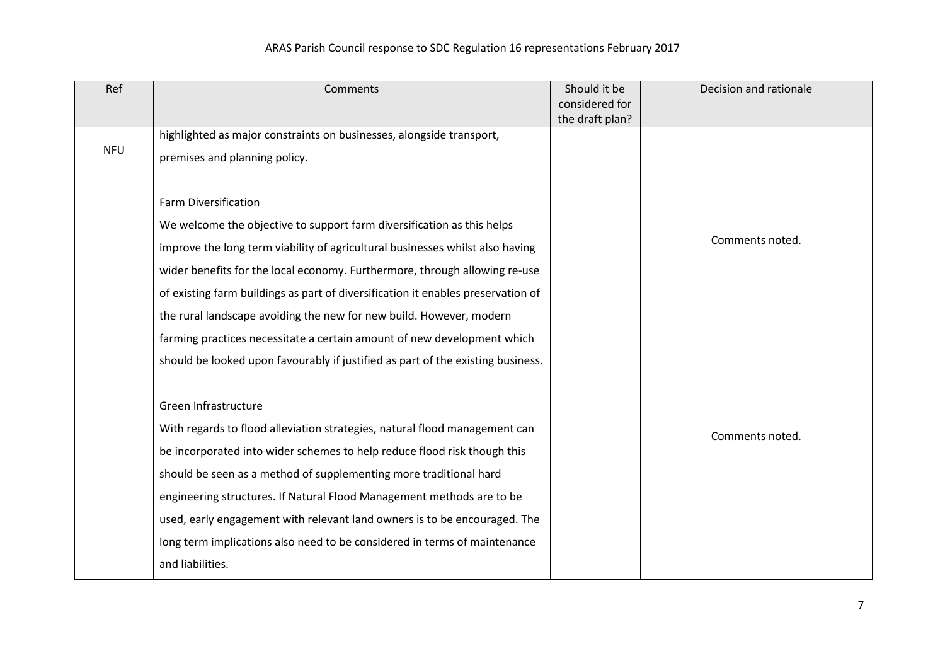| Ref        | Comments                                                                         | Should it be                      | Decision and rationale |
|------------|----------------------------------------------------------------------------------|-----------------------------------|------------------------|
|            |                                                                                  | considered for<br>the draft plan? |                        |
|            | highlighted as major constraints on businesses, alongside transport,             |                                   |                        |
| <b>NFU</b> | premises and planning policy.                                                    |                                   |                        |
|            |                                                                                  |                                   |                        |
|            | <b>Farm Diversification</b>                                                      |                                   |                        |
|            | We welcome the objective to support farm diversification as this helps           |                                   |                        |
|            | improve the long term viability of agricultural businesses whilst also having    |                                   | Comments noted.        |
|            | wider benefits for the local economy. Furthermore, through allowing re-use       |                                   |                        |
|            | of existing farm buildings as part of diversification it enables preservation of |                                   |                        |
|            | the rural landscape avoiding the new for new build. However, modern              |                                   |                        |
|            | farming practices necessitate a certain amount of new development which          |                                   |                        |
|            | should be looked upon favourably if justified as part of the existing business.  |                                   |                        |
|            |                                                                                  |                                   |                        |
|            | Green Infrastructure                                                             |                                   |                        |
|            | With regards to flood alleviation strategies, natural flood management can       |                                   | Comments noted.        |
|            | be incorporated into wider schemes to help reduce flood risk though this         |                                   |                        |
|            | should be seen as a method of supplementing more traditional hard                |                                   |                        |
|            | engineering structures. If Natural Flood Management methods are to be            |                                   |                        |
|            | used, early engagement with relevant land owners is to be encouraged. The        |                                   |                        |
|            | long term implications also need to be considered in terms of maintenance        |                                   |                        |
|            | and liabilities.                                                                 |                                   |                        |
|            |                                                                                  |                                   |                        |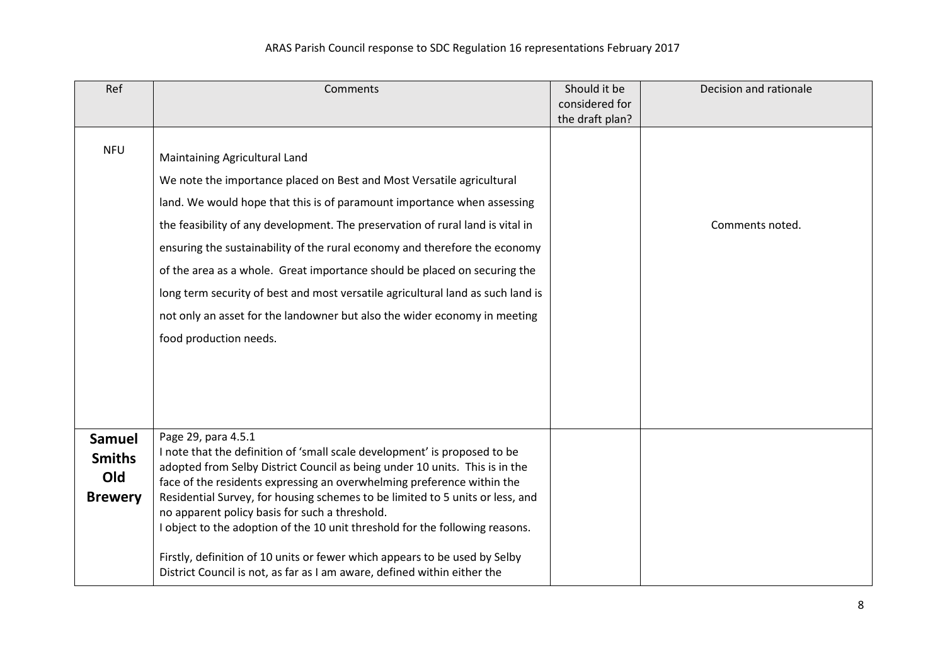| Ref                                                     | Comments                                                                                                                                                                                                                                                                                                                                                                                                                                                                                                                                                                                                                               | Should it be<br>considered for | Decision and rationale |
|---------------------------------------------------------|----------------------------------------------------------------------------------------------------------------------------------------------------------------------------------------------------------------------------------------------------------------------------------------------------------------------------------------------------------------------------------------------------------------------------------------------------------------------------------------------------------------------------------------------------------------------------------------------------------------------------------------|--------------------------------|------------------------|
|                                                         |                                                                                                                                                                                                                                                                                                                                                                                                                                                                                                                                                                                                                                        | the draft plan?                |                        |
| <b>NFU</b>                                              | Maintaining Agricultural Land<br>We note the importance placed on Best and Most Versatile agricultural<br>land. We would hope that this is of paramount importance when assessing<br>the feasibility of any development. The preservation of rural land is vital in<br>ensuring the sustainability of the rural economy and therefore the economy<br>of the area as a whole. Great importance should be placed on securing the<br>long term security of best and most versatile agricultural land as such land is<br>not only an asset for the landowner but also the wider economy in meeting<br>food production needs.               |                                | Comments noted.        |
| <b>Samuel</b><br><b>Smiths</b><br>Old<br><b>Brewery</b> | Page 29, para 4.5.1<br>I note that the definition of 'small scale development' is proposed to be<br>adopted from Selby District Council as being under 10 units. This is in the<br>face of the residents expressing an overwhelming preference within the<br>Residential Survey, for housing schemes to be limited to 5 units or less, and<br>no apparent policy basis for such a threshold.<br>I object to the adoption of the 10 unit threshold for the following reasons.<br>Firstly, definition of 10 units or fewer which appears to be used by Selby<br>District Council is not, as far as I am aware, defined within either the |                                |                        |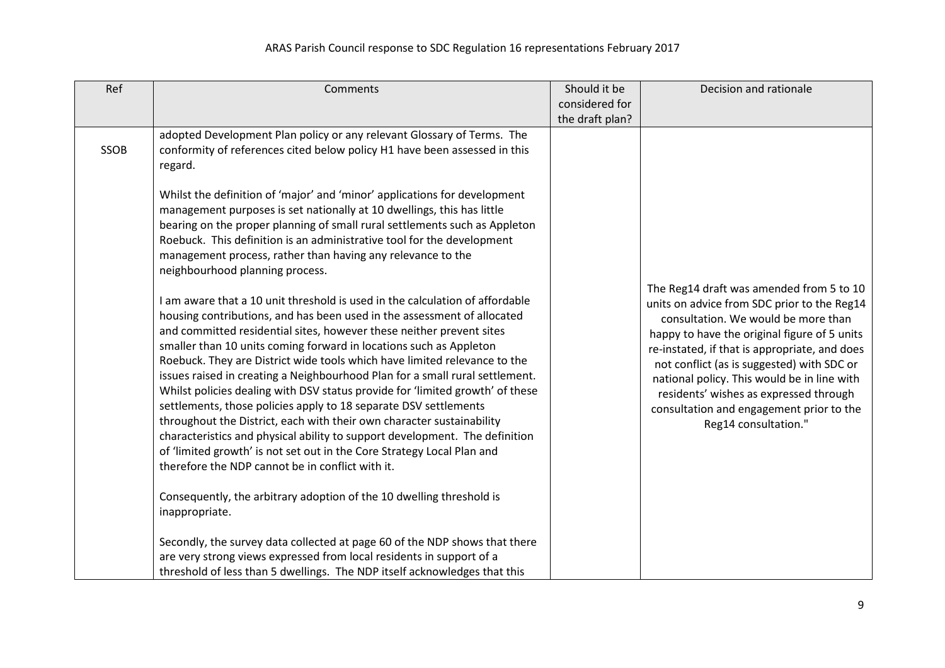| Ref  | Comments                                                                                                                                                                                                                                                                                                                                                                                                                                                                                                                                                                                                                                                                                                                                                                                                                                                                                                      | Should it be    | Decision and rationale                                                                                                                                                                                                                                                                                                                                                                                                                     |
|------|---------------------------------------------------------------------------------------------------------------------------------------------------------------------------------------------------------------------------------------------------------------------------------------------------------------------------------------------------------------------------------------------------------------------------------------------------------------------------------------------------------------------------------------------------------------------------------------------------------------------------------------------------------------------------------------------------------------------------------------------------------------------------------------------------------------------------------------------------------------------------------------------------------------|-----------------|--------------------------------------------------------------------------------------------------------------------------------------------------------------------------------------------------------------------------------------------------------------------------------------------------------------------------------------------------------------------------------------------------------------------------------------------|
|      |                                                                                                                                                                                                                                                                                                                                                                                                                                                                                                                                                                                                                                                                                                                                                                                                                                                                                                               | considered for  |                                                                                                                                                                                                                                                                                                                                                                                                                                            |
|      |                                                                                                                                                                                                                                                                                                                                                                                                                                                                                                                                                                                                                                                                                                                                                                                                                                                                                                               | the draft plan? |                                                                                                                                                                                                                                                                                                                                                                                                                                            |
| SSOB | adopted Development Plan policy or any relevant Glossary of Terms. The<br>conformity of references cited below policy H1 have been assessed in this<br>regard.                                                                                                                                                                                                                                                                                                                                                                                                                                                                                                                                                                                                                                                                                                                                                |                 |                                                                                                                                                                                                                                                                                                                                                                                                                                            |
|      | Whilst the definition of 'major' and 'minor' applications for development<br>management purposes is set nationally at 10 dwellings, this has little<br>bearing on the proper planning of small rural settlements such as Appleton<br>Roebuck. This definition is an administrative tool for the development<br>management process, rather than having any relevance to the<br>neighbourhood planning process.                                                                                                                                                                                                                                                                                                                                                                                                                                                                                                 |                 |                                                                                                                                                                                                                                                                                                                                                                                                                                            |
|      | I am aware that a 10 unit threshold is used in the calculation of affordable<br>housing contributions, and has been used in the assessment of allocated<br>and committed residential sites, however these neither prevent sites<br>smaller than 10 units coming forward in locations such as Appleton<br>Roebuck. They are District wide tools which have limited relevance to the<br>issues raised in creating a Neighbourhood Plan for a small rural settlement.<br>Whilst policies dealing with DSV status provide for 'limited growth' of these<br>settlements, those policies apply to 18 separate DSV settlements<br>throughout the District, each with their own character sustainability<br>characteristics and physical ability to support development. The definition<br>of 'limited growth' is not set out in the Core Strategy Local Plan and<br>therefore the NDP cannot be in conflict with it. |                 | The Reg14 draft was amended from 5 to 10<br>units on advice from SDC prior to the Reg14<br>consultation. We would be more than<br>happy to have the original figure of 5 units<br>re-instated, if that is appropriate, and does<br>not conflict (as is suggested) with SDC or<br>national policy. This would be in line with<br>residents' wishes as expressed through<br>consultation and engagement prior to the<br>Reg14 consultation." |
|      | Consequently, the arbitrary adoption of the 10 dwelling threshold is<br>inappropriate.                                                                                                                                                                                                                                                                                                                                                                                                                                                                                                                                                                                                                                                                                                                                                                                                                        |                 |                                                                                                                                                                                                                                                                                                                                                                                                                                            |
|      | Secondly, the survey data collected at page 60 of the NDP shows that there<br>are very strong views expressed from local residents in support of a<br>threshold of less than 5 dwellings. The NDP itself acknowledges that this                                                                                                                                                                                                                                                                                                                                                                                                                                                                                                                                                                                                                                                                               |                 |                                                                                                                                                                                                                                                                                                                                                                                                                                            |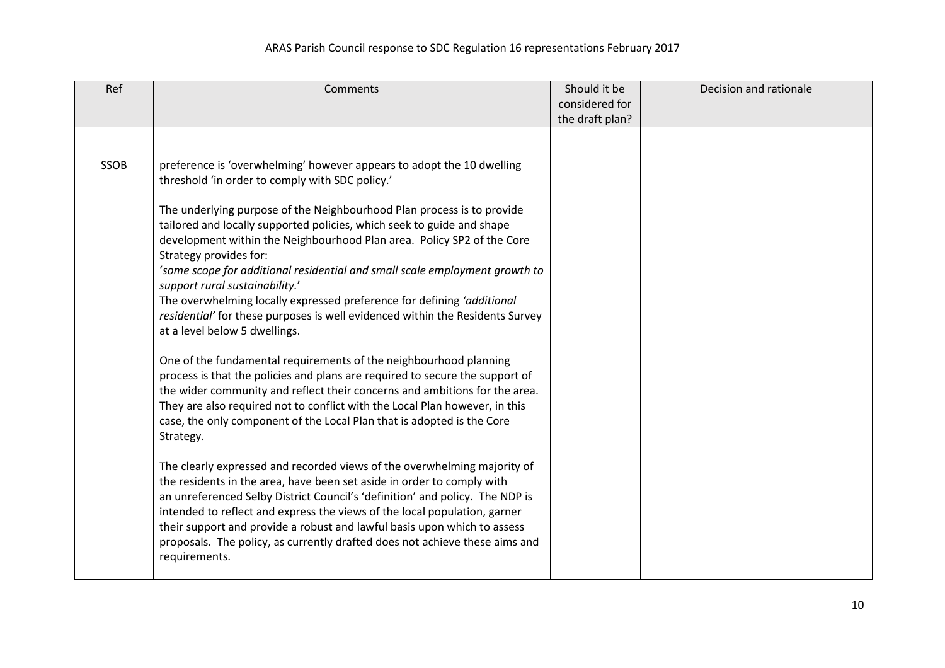| Ref  | Comments                                                                                                                                                                                                                                                                                                                                                                                                                                                                                          | Should it be<br>considered for | Decision and rationale |
|------|---------------------------------------------------------------------------------------------------------------------------------------------------------------------------------------------------------------------------------------------------------------------------------------------------------------------------------------------------------------------------------------------------------------------------------------------------------------------------------------------------|--------------------------------|------------------------|
|      |                                                                                                                                                                                                                                                                                                                                                                                                                                                                                                   | the draft plan?                |                        |
| SSOB | preference is 'overwhelming' however appears to adopt the 10 dwelling<br>threshold 'in order to comply with SDC policy.'<br>The underlying purpose of the Neighbourhood Plan process is to provide<br>tailored and locally supported policies, which seek to guide and shape<br>development within the Neighbourhood Plan area. Policy SP2 of the Core<br>Strategy provides for:<br>'some scope for additional residential and small scale employment growth to<br>support rural sustainability.' |                                |                        |
|      | The overwhelming locally expressed preference for defining 'additional<br>residential' for these purposes is well evidenced within the Residents Survey<br>at a level below 5 dwellings.                                                                                                                                                                                                                                                                                                          |                                |                        |
|      | One of the fundamental requirements of the neighbourhood planning<br>process is that the policies and plans are required to secure the support of<br>the wider community and reflect their concerns and ambitions for the area.<br>They are also required not to conflict with the Local Plan however, in this<br>case, the only component of the Local Plan that is adopted is the Core<br>Strategy.                                                                                             |                                |                        |
|      | The clearly expressed and recorded views of the overwhelming majority of<br>the residents in the area, have been set aside in order to comply with<br>an unreferenced Selby District Council's 'definition' and policy. The NDP is<br>intended to reflect and express the views of the local population, garner<br>their support and provide a robust and lawful basis upon which to assess<br>proposals. The policy, as currently drafted does not achieve these aims and<br>requirements.       |                                |                        |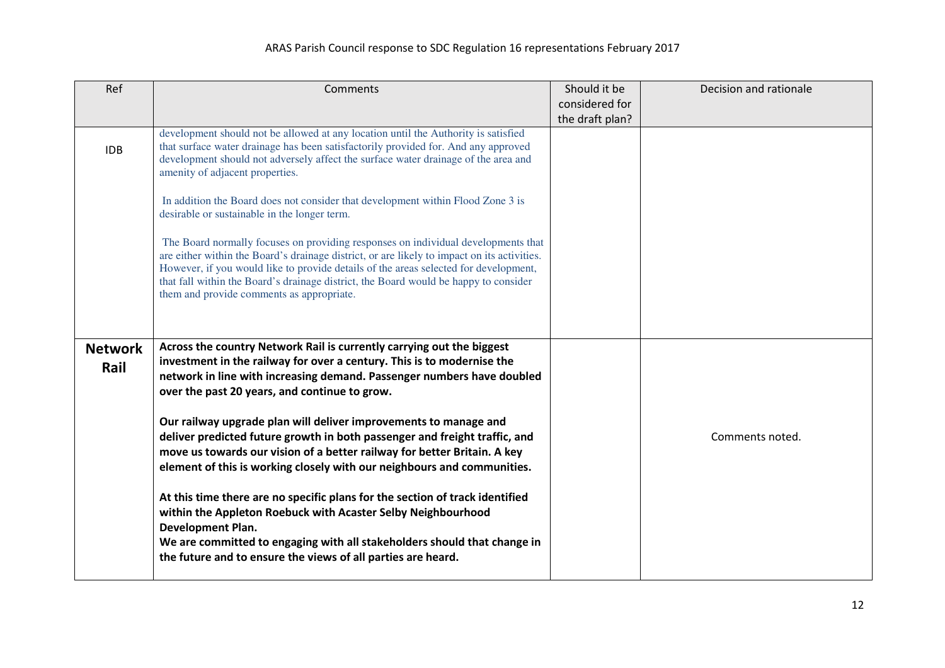| Ref                    | Comments                                                                                                                                                                                                                                                                                                                                                                                                      | Should it be<br>considered for<br>the draft plan? | Decision and rationale |
|------------------------|---------------------------------------------------------------------------------------------------------------------------------------------------------------------------------------------------------------------------------------------------------------------------------------------------------------------------------------------------------------------------------------------------------------|---------------------------------------------------|------------------------|
| <b>IDB</b>             | development should not be allowed at any location until the Authority is satisfied<br>that surface water drainage has been satisfactorily provided for. And any approved<br>development should not adversely affect the surface water drainage of the area and<br>amenity of adjacent properties.                                                                                                             |                                                   |                        |
|                        | In addition the Board does not consider that development within Flood Zone 3 is<br>desirable or sustainable in the longer term.                                                                                                                                                                                                                                                                               |                                                   |                        |
|                        | The Board normally focuses on providing responses on individual developments that<br>are either within the Board's drainage district, or are likely to impact on its activities.<br>However, if you would like to provide details of the areas selected for development,<br>that fall within the Board's drainage district, the Board would be happy to consider<br>them and provide comments as appropriate. |                                                   |                        |
| <b>Network</b><br>Rail | Across the country Network Rail is currently carrying out the biggest<br>investment in the railway for over a century. This is to modernise the<br>network in line with increasing demand. Passenger numbers have doubled<br>over the past 20 years, and continue to grow.                                                                                                                                    |                                                   |                        |
|                        | Our railway upgrade plan will deliver improvements to manage and<br>deliver predicted future growth in both passenger and freight traffic, and<br>move us towards our vision of a better railway for better Britain. A key<br>element of this is working closely with our neighbours and communities.                                                                                                         |                                                   | Comments noted.        |
|                        | At this time there are no specific plans for the section of track identified<br>within the Appleton Roebuck with Acaster Selby Neighbourhood<br>Development Plan.<br>We are committed to engaging with all stakeholders should that change in<br>the future and to ensure the views of all parties are heard.                                                                                                 |                                                   |                        |
|                        |                                                                                                                                                                                                                                                                                                                                                                                                               |                                                   |                        |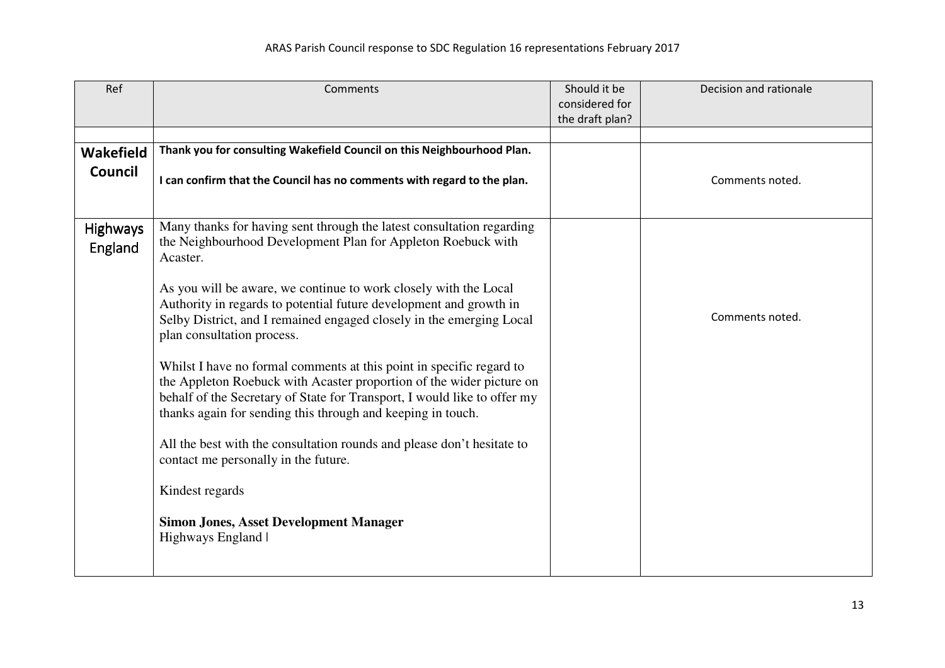| Ref                        | Comments                                                                                                                                                                                                                                                                                | Should it be<br>considered for | Decision and rationale |
|----------------------------|-----------------------------------------------------------------------------------------------------------------------------------------------------------------------------------------------------------------------------------------------------------------------------------------|--------------------------------|------------------------|
|                            |                                                                                                                                                                                                                                                                                         | the draft plan?                |                        |
|                            |                                                                                                                                                                                                                                                                                         |                                |                        |
| <b>Wakefield</b>           | Thank you for consulting Wakefield Council on this Neighbourhood Plan.                                                                                                                                                                                                                  |                                |                        |
| <b>Council</b>             | I can confirm that the Council has no comments with regard to the plan.                                                                                                                                                                                                                 |                                | Comments noted.        |
|                            |                                                                                                                                                                                                                                                                                         |                                |                        |
| <b>Highways</b><br>England | Many thanks for having sent through the latest consultation regarding<br>the Neighbourhood Development Plan for Appleton Roebuck with<br>Acaster.                                                                                                                                       |                                |                        |
|                            | As you will be aware, we continue to work closely with the Local<br>Authority in regards to potential future development and growth in<br>Selby District, and I remained engaged closely in the emerging Local<br>plan consultation process.                                            |                                | Comments noted.        |
|                            | Whilst I have no formal comments at this point in specific regard to<br>the Appleton Roebuck with Acaster proportion of the wider picture on<br>behalf of the Secretary of State for Transport, I would like to offer my<br>thanks again for sending this through and keeping in touch. |                                |                        |
|                            | All the best with the consultation rounds and please don't hesitate to<br>contact me personally in the future.                                                                                                                                                                          |                                |                        |
|                            | Kindest regards                                                                                                                                                                                                                                                                         |                                |                        |
|                            | <b>Simon Jones, Asset Development Manager</b><br>Highways England                                                                                                                                                                                                                       |                                |                        |
|                            |                                                                                                                                                                                                                                                                                         |                                |                        |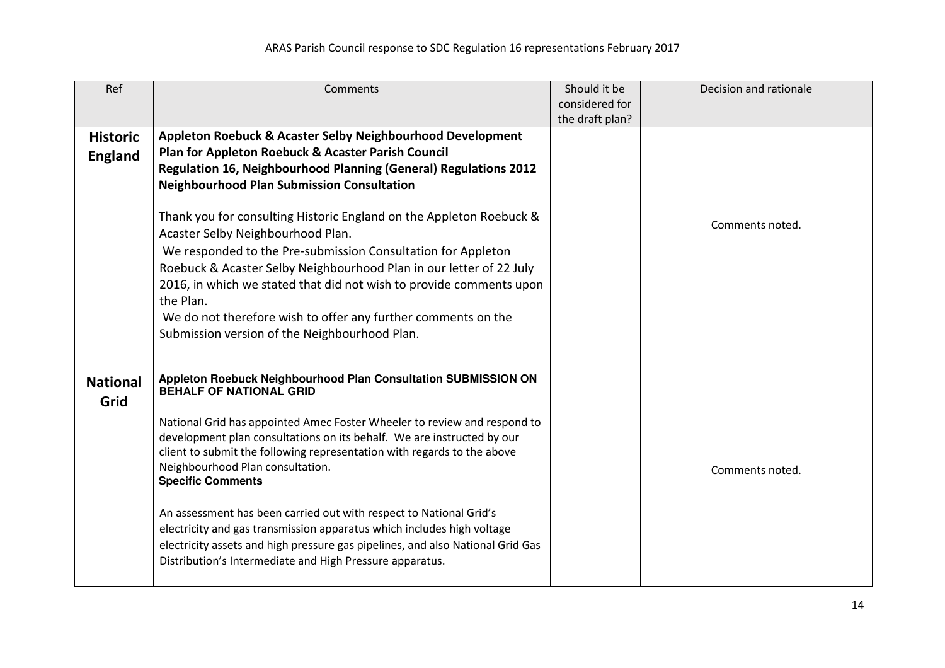| Ref             | Comments                                                                                                    | Should it be    | Decision and rationale |
|-----------------|-------------------------------------------------------------------------------------------------------------|-----------------|------------------------|
|                 |                                                                                                             | considered for  |                        |
|                 |                                                                                                             | the draft plan? |                        |
| <b>Historic</b> | Appleton Roebuck & Acaster Selby Neighbourhood Development                                                  |                 |                        |
| <b>England</b>  | Plan for Appleton Roebuck & Acaster Parish Council                                                          |                 |                        |
|                 | Regulation 16, Neighbourhood Planning (General) Regulations 2012                                            |                 |                        |
|                 | <b>Neighbourhood Plan Submission Consultation</b>                                                           |                 |                        |
|                 |                                                                                                             |                 |                        |
|                 | Thank you for consulting Historic England on the Appleton Roebuck &                                         |                 |                        |
|                 | Acaster Selby Neighbourhood Plan.                                                                           |                 | Comments noted.        |
|                 | We responded to the Pre-submission Consultation for Appleton                                                |                 |                        |
|                 | Roebuck & Acaster Selby Neighbourhood Plan in our letter of 22 July                                         |                 |                        |
|                 | 2016, in which we stated that did not wish to provide comments upon                                         |                 |                        |
|                 | the Plan.                                                                                                   |                 |                        |
|                 | We do not therefore wish to offer any further comments on the                                               |                 |                        |
|                 | Submission version of the Neighbourhood Plan.                                                               |                 |                        |
|                 |                                                                                                             |                 |                        |
|                 |                                                                                                             |                 |                        |
| <b>National</b> | Appleton Roebuck Neighbourhood Plan Consultation SUBMISSION ON                                              |                 |                        |
| Grid            | <b>BEHALF OF NATIONAL GRID</b>                                                                              |                 |                        |
|                 |                                                                                                             |                 |                        |
|                 | National Grid has appointed Amec Foster Wheeler to review and respond to                                    |                 |                        |
|                 | development plan consultations on its behalf. We are instructed by our                                      |                 |                        |
|                 | client to submit the following representation with regards to the above<br>Neighbourhood Plan consultation. |                 |                        |
|                 | <b>Specific Comments</b>                                                                                    |                 | Comments noted.        |
|                 |                                                                                                             |                 |                        |
|                 | An assessment has been carried out with respect to National Grid's                                          |                 |                        |
|                 | electricity and gas transmission apparatus which includes high voltage                                      |                 |                        |
|                 | electricity assets and high pressure gas pipelines, and also National Grid Gas                              |                 |                        |
|                 | Distribution's Intermediate and High Pressure apparatus.                                                    |                 |                        |
|                 |                                                                                                             |                 |                        |
|                 |                                                                                                             |                 |                        |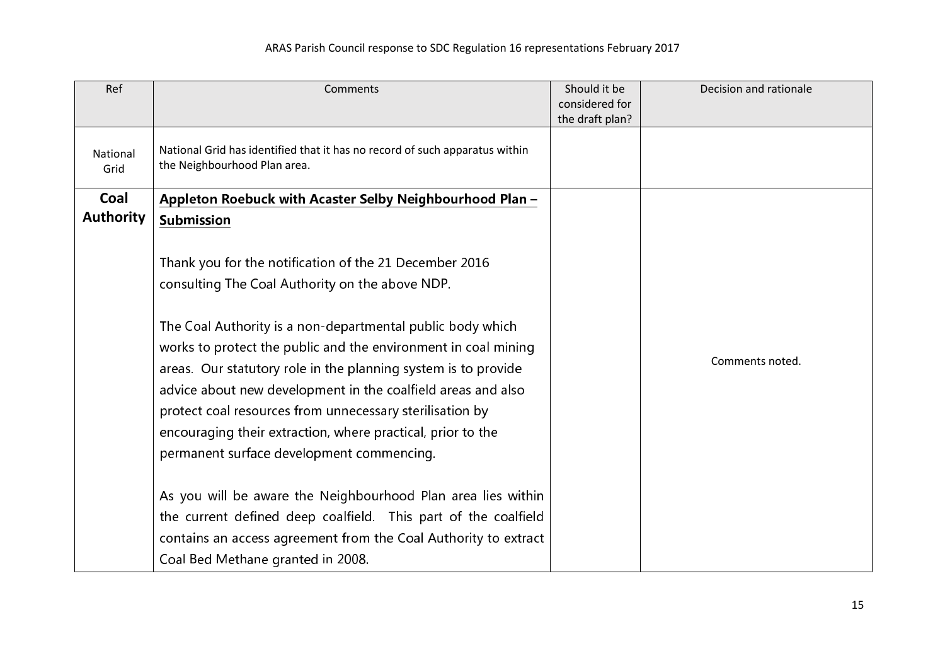| Ref              | Comments                                                                                                                                                                                                                                                                                                                                                                    | Should it be<br>considered for<br>the draft plan? | Decision and rationale |
|------------------|-----------------------------------------------------------------------------------------------------------------------------------------------------------------------------------------------------------------------------------------------------------------------------------------------------------------------------------------------------------------------------|---------------------------------------------------|------------------------|
| National<br>Grid | National Grid has identified that it has no record of such apparatus within<br>the Neighbourhood Plan area.                                                                                                                                                                                                                                                                 |                                                   |                        |
| Coal             | Appleton Roebuck with Acaster Selby Neighbourhood Plan -                                                                                                                                                                                                                                                                                                                    |                                                   |                        |
| <b>Authority</b> | <b>Submission</b>                                                                                                                                                                                                                                                                                                                                                           |                                                   |                        |
|                  | Thank you for the notification of the 21 December 2016<br>consulting The Coal Authority on the above NDP.<br>The Coal Authority is a non-departmental public body which<br>works to protect the public and the environment in coal mining<br>areas. Our statutory role in the planning system is to provide<br>advice about new development in the coalfield areas and also |                                                   | Comments noted.        |
|                  | protect coal resources from unnecessary sterilisation by<br>encouraging their extraction, where practical, prior to the                                                                                                                                                                                                                                                     |                                                   |                        |
|                  | permanent surface development commencing.                                                                                                                                                                                                                                                                                                                                   |                                                   |                        |
|                  | As you will be aware the Neighbourhood Plan area lies within<br>the current defined deep coalfield. This part of the coalfield<br>contains an access agreement from the Coal Authority to extract<br>Coal Bed Methane granted in 2008.                                                                                                                                      |                                                   |                        |